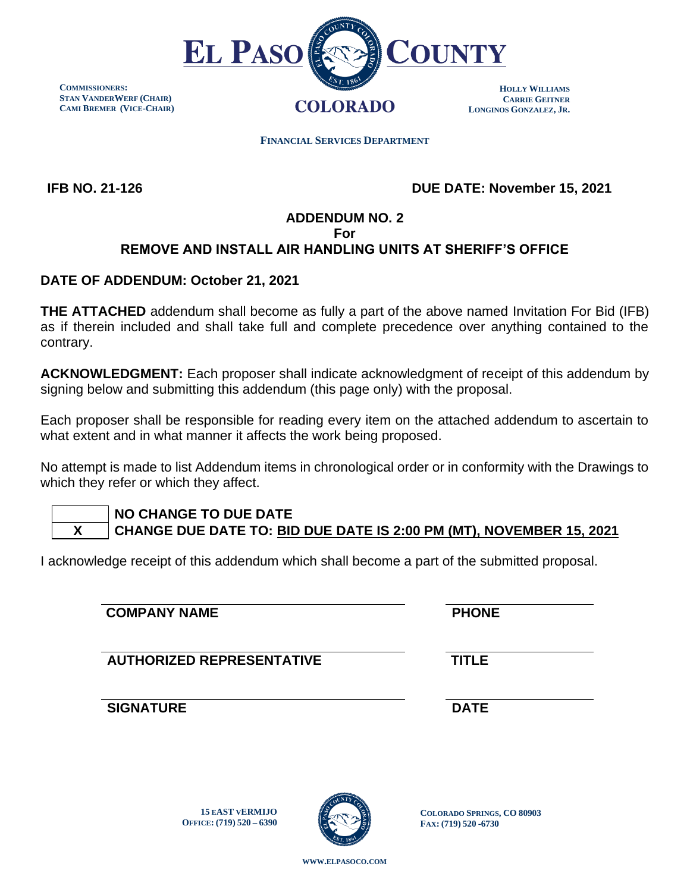

**COMMISSIONERS: STAN VANDERWERF (CHAIR) CAMI BREMER (VICE-CHAIR)**

 **FINANCIAL SERVICES DEPARTMENT** 

 **IFB NO. 21-126**

 **DUE DATE: November 15, 2021**

# **ADDENDUM NO. 2**

**For**

# **REMOVE AND INSTALL AIR HANDLING UNITS AT SHERIFF'S OFFICE**

## **DATE OF ADDENDUM: October 21, 2021**

**THE ATTACHED** addendum shall become as fully a part of the above named Invitation For Bid (IFB) as if therein included and shall take full and complete precedence over anything contained to the contrary.

**ACKNOWLEDGMENT:** Each proposer shall indicate acknowledgment of receipt of this addendum by signing below and submitting this addendum (this page only) with the proposal.

Each proposer shall be responsible for reading every item on the attached addendum to ascertain to what extent and in what manner it affects the work being proposed.

No attempt is made to list Addendum items in chronological order or in conformity with the Drawings to which they refer or which they affect.

# **NO CHANGE TO DUE DATE**

 **X CHANGE DUE DATE TO: BID DUE DATE IS 2:00 PM (MT), NOVEMBER 15, 2021**

I acknowledge receipt of this addendum which shall become a part of the submitted proposal.

### **COMPANY NAME PHONE**

**AUTHORIZED REPRESENTATIVE TITLE**

**15 EAST VERMIJO OFFICE: (719) 520 – 6390**

**SIGNATURE DATE**



**COLORADO SPRINGS, CO 80903 FAX: (719) 520 -6730**

**WWW.[ELPASOCO](file:///C:/Users/pcdfields/AppData/Local/Microsoft/Windows/INetCache/Content.Outlook/OA1LDP44/www.elpasoco.com).COM**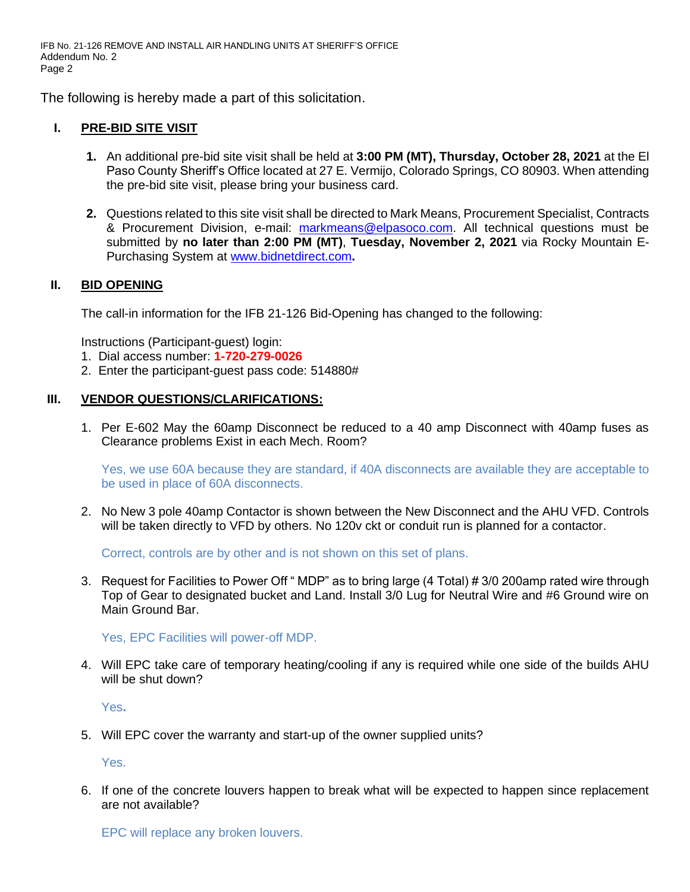IFB No. 21-126 REMOVE AND INSTALL AIR HANDLING UNITS AT SHERIFF'S OFFICE Addendum No. 2 Page 2

The following is hereby made a part of this solicitation.

### **I. PRE-BID SITE VISIT**

- **1.** An additional pre-bid site visit shall be held at **3:00 PM (MT), Thursday, October 28, 2021** at the El Paso County Sheriff's Office located at 27 E. Vermijo, Colorado Springs, CO 80903. When attending the pre-bid site visit, please bring your business card.
- **2.** Questions related to this site visit shall be directed to Mark Means, Procurement Specialist, Contracts & Procurement Division, e-mail: [markmeans@elpasoco.com.](mailto:markmeans@elpasoco.com) All technical questions must be submitted by **no later than 2:00 PM (MT)**, **Tuesday, November 2, 2021** via Rocky Mountain E-Purchasing System at [www.bidnetdirect.com](http://www.bidnetdirect.com/)**.**

### **II. BID OPENING**

The call-in information for the IFB 21-126 Bid-Opening has changed to the following:

Instructions (Participant-guest) login:

- 1. Dial access number: **1-720-279-0026**
- 2. Enter the participant-guest pass code: 514880#

#### **III. VENDOR QUESTIONS/CLARIFICATIONS:**

1. Per E-602 May the 60amp Disconnect be reduced to a 40 amp Disconnect with 40amp fuses as Clearance problems Exist in each Mech. Room?

Yes, we use 60A because they are standard, if 40A disconnects are available they are acceptable to be used in place of 60A disconnects.

2. No New 3 pole 40amp Contactor is shown between the New Disconnect and the AHU VFD. Controls will be taken directly to VFD by others. No 120v ckt or conduit run is planned for a contactor.

Correct, controls are by other and is not shown on this set of plans.

3. Request for Facilities to Power Off " MDP" as to bring large (4 Total) # 3/0 200amp rated wire through Top of Gear to designated bucket and Land. Install 3/0 Lug for Neutral Wire and #6 Ground wire on Main Ground Bar.

Yes, EPC Facilities will power-off MDP.

4. Will EPC take care of temporary heating/cooling if any is required while one side of the builds AHU will be shut down?

Yes**.**

5. Will EPC cover the warranty and start-up of the owner supplied units?

Yes.

6. If one of the concrete louvers happen to break what will be expected to happen since replacement are not available?

EPC will replace any broken louvers.